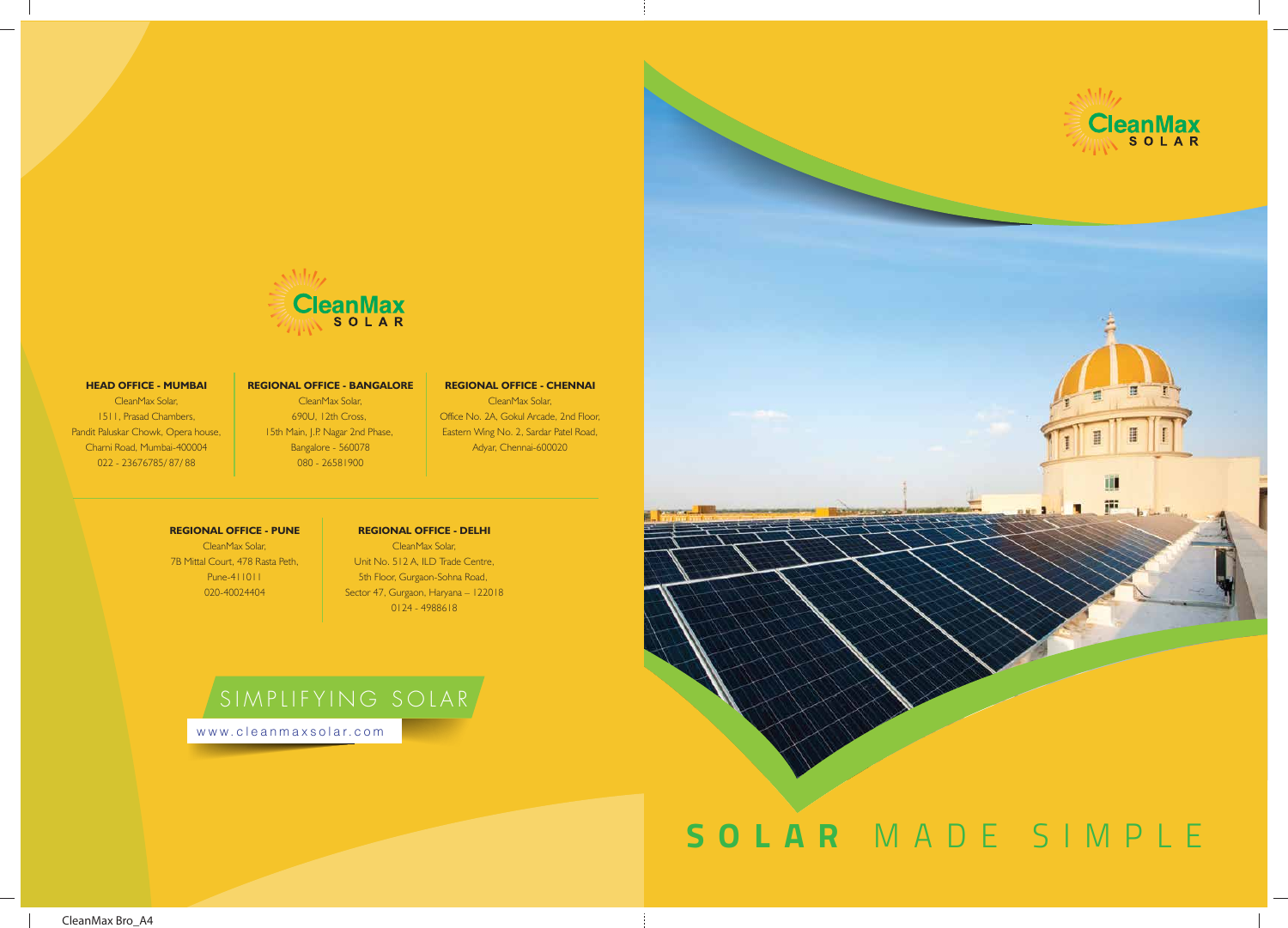



#### **HEAD OFFICE - MUMBAI**

CleanMax Solar, 1511, Prasad Chambers, Pandit Paluskar Chowk, Opera house, Charni Road, Mumbai-400004 022 - 23676785/ 87/ 88

#### **REGIONAL OFFICE - BANGALORE**

CleanMax Solar, 690U, 12th Cross, 15th Main, J.P. Nagar 2nd Phase, Bangalore - 560078 080 - 26581900

#### **REGIONAL OFFICE - CHENNAI**

CleanMax Solar, Office No. 2A, Gokul Arcade, 2nd Floor, Eastern Wing No. 2, Sardar Patel Road, Adyar, Chennai-600020

#### **REGIONAL OFFICE - PUNE**

CleanMax Solar, 7B Mittal Court, 478 Rasta Peth, Pune-411011 020-40024404

### **REGIONAL OFFICE - DELHI**

CleanMax Solar, Unit No. 512 A, ILD Trade Centre, 5th Floor, Gurgaon-Sohna Road, Sector 47, Gurgaon, Haryana – 122018 0124 - 4988618

# SIMPLIFYING SOLAR

www.cleanmaxsola r.com

CleanMax Bro\_A4

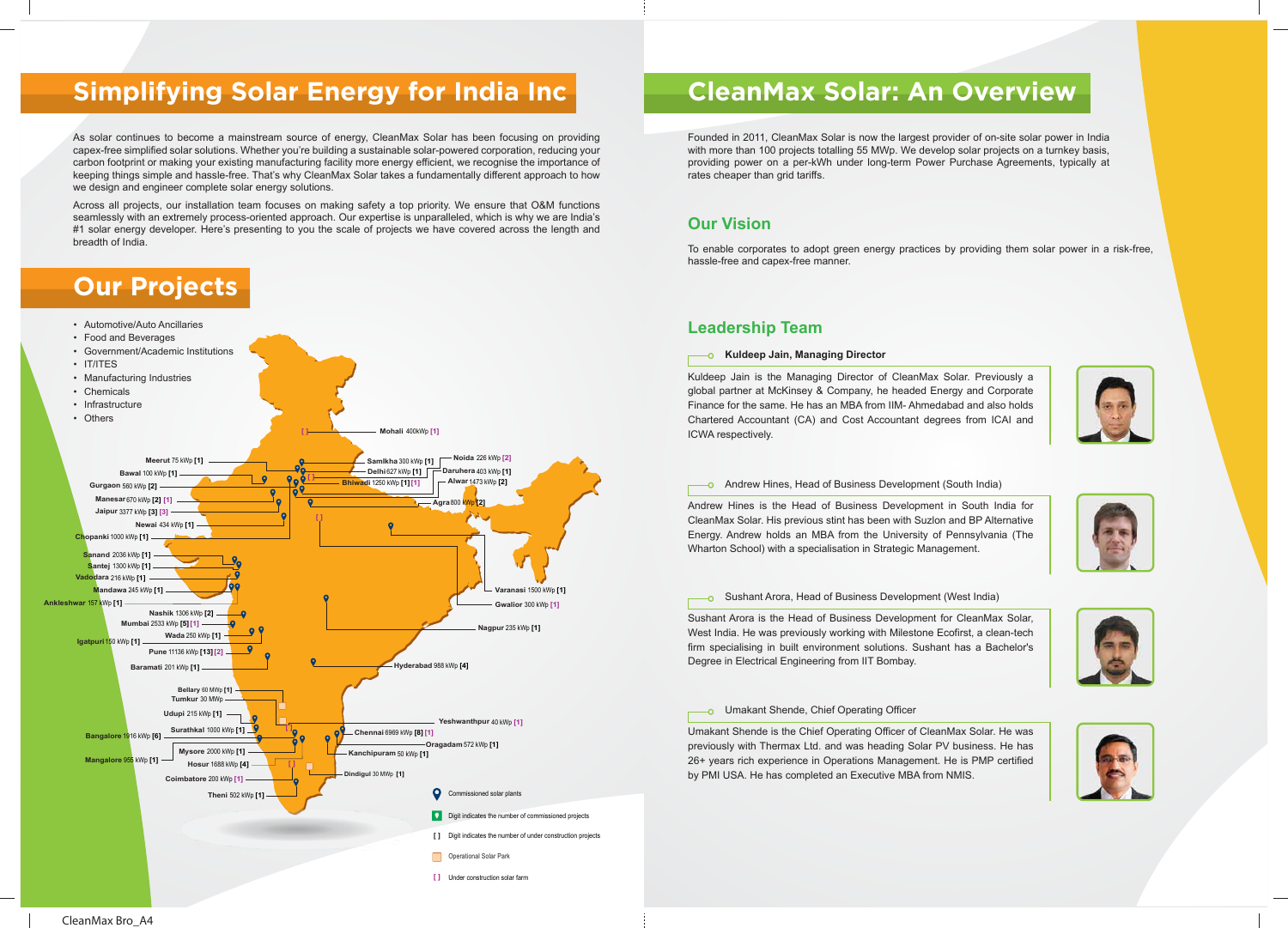As solar continues to become a mainstream source of energy, CleanMax Solar has been focusing on providing capex-free simplified solar solutions. Whether you're building a sustainable solar-powered corporation, reducing your carbon footprint or making your existing manufacturing facility more energy efficient, we recognise the importance of keeping things simple and hassle-free. That's why CleanMax Solar takes a fundamentally different approach to how we design and engineer complete solar energy solutions.

Across all projects, our installation team focuses on making safety a top priority. We ensure that O&M functions seamlessly with an extremely process-oriented approach. Our expertise is unparalleled, which is why we are India's #1 solar energy developer. Here's presenting to you the scale of projects we have covered across the length and breadth of India.

## **Simplifying Solar Energy for India Inc**

## **Our Projects**









# **CleanMax Solar: An Overview**

### **Our Vision**

To enable corporates to adopt green energy practices by providing them solar power in a risk-free, hassle-free and capex-free manner.

## **Leadership Team**

#### **Kuldeep Jain, Managing Director**

Kuldeep Jain is the Managing Director of CleanMax Solar. Previously a global partner at McKinsey & Company, he headed Energy and Corporate Finance for the same. He has an MBA from IIM- Ahmedabad and also holds Chartered Accountant (CA) and Cost Accountant degrees from ICAI and ICWA respectively.

#### **-o** Andrew Hines, Head of Business Development (South India)

Andrew Hines is the Head of Business Development in South India for CleanMax Solar. His previous stint has been with Suzlon and BP Alternative Energy. Andrew holds an MBA from the University of Pennsylvania (The Wharton School) with a specialisation in Strategic Management.

#### Sushant Arora, Head of Business Development (West India)

Sushant Arora is the Head of Business Development for CleanMax Solar, West India. He was previously working with Milestone Ecofirst, a clean-tech firm specialising in built environment solutions. Sushant has a Bachelor's Degree in Electrical Engineering from IIT Bombay.

#### Umakant Shende, Chief Operating Officer

Umakant Shende is the Chief Operating Officer of CleanMax Solar. He was previously with Thermax Ltd. and was heading Solar PV business. He has 26+ years rich experience in Operations Management. He is PMP certified by PMI USA. He has completed an Executive MBA from NMIS.



Founded in 2011, CleanMax Solar is now the largest provider of on-site solar power in India with more than 100 projects totalling 55 MWp. We develop solar projects on a turnkey basis, providing power on a per-kWh under long-term Power Purchase Agreements, typically at rates cheaper than grid tariffs.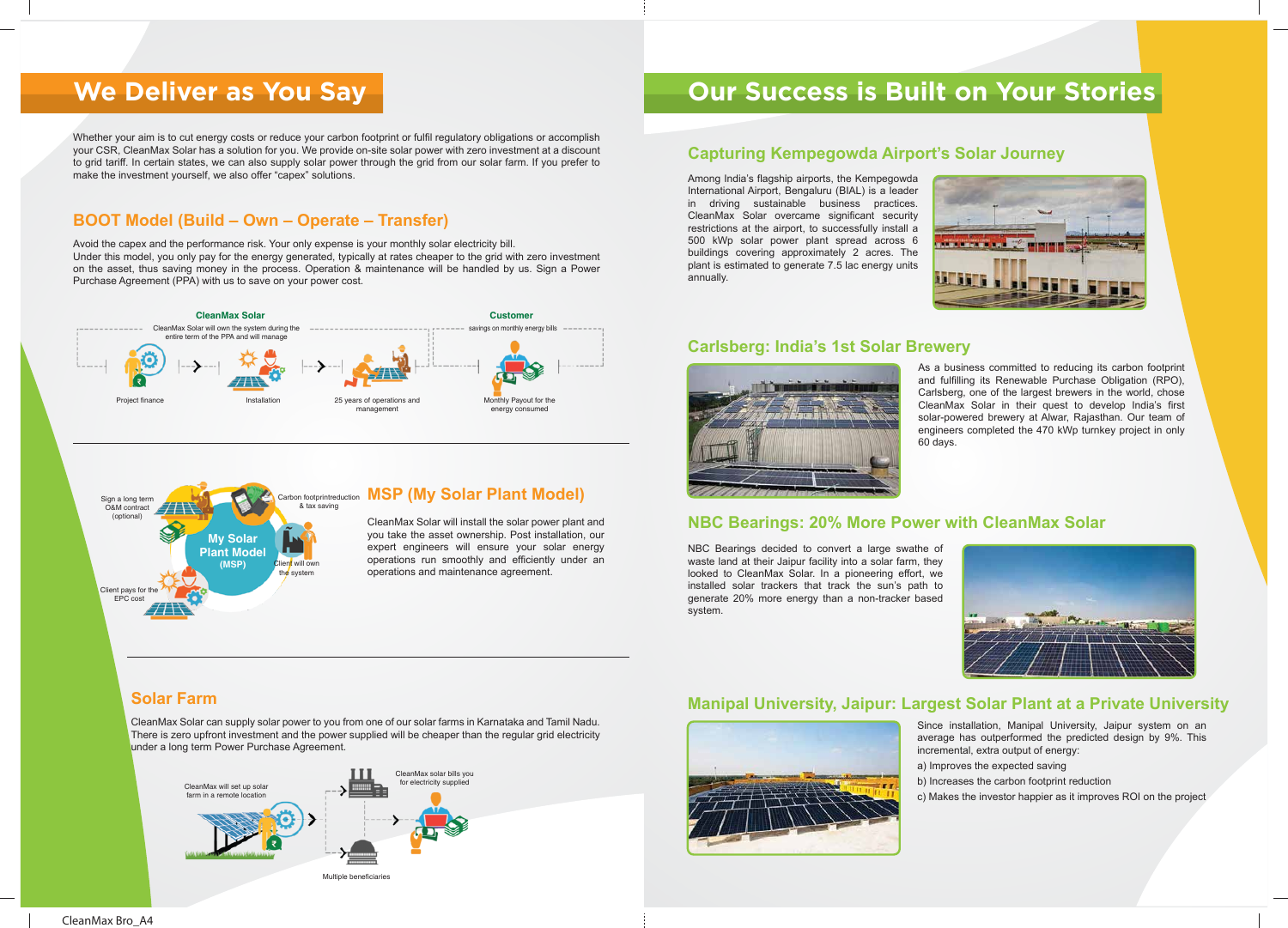Whether your aim is to cut energy costs or reduce your carbon footprint or fulfil regulatory obligations or accomplish your CSR, CleanMax Solar has a solution for you. We provide on-site solar power with zero investment at a discount to grid tariff. In certain states, we can also supply solar power through the grid from our solar farm. If you prefer to make the investment yourself, we also offer "capex" solutions.

## **We Deliver as You Say**

CleanMax Solar can supply solar power to you from one of our solar farms in Karnataka and Tamil Nadu. There is zero upfront investment and the power supplied will be cheaper than the regular grid electricity under a long term Power Purchase Agreement.

Avoid the capex and the performance risk. Your only expense is your monthly solar electricity bill. Under this model, you only pay for the energy generated, typically at rates cheaper to the grid with zero investment on the asset, thus saving money in the process. Operation & maintenance will be handled by us. Sign a Power Purchase Agreement (PPA) with us to save on your power cost.

> CleanMax Solar will install the solar power plant and you take the asset ownership. Post installation, our expert engineers will ensure your solar energy operations run smoothly and efficiently under an operations and maintenance agreement.

### **BOOT Model (Build – Own – Operate – Transfer)**

## **Solar Farm**



## **Our Success is Built on Your Stories**

Among India's flagship airports, the Kempegowda International Airport, Bengaluru (BIAL) is a leader in driving sustainable business practices. CleanMax Solar overcame significant security restrictions at the airport, to successfully install a 500 kWp solar power plant spread across 6 buildings covering approximately 2 acres. The plant is estimated to generate 7.5 lac energy units annually.

> As a business committed to reducing its carbon footprint and fulfilling its Renewable Purchase Obligation (RPO), Carlsberg, one of the largest brewers in the world, chose CleanMax Solar in their quest to develop India's first solar-powered brewery at Alwar, Rajasthan. Our team of engineers completed the 470 kWp turnkey project in only 60 days.



NBC Bearings decided to convert a large swathe of waste land at their Jaipur facility into a solar farm, they looked to CleanMax Solar. In a pioneering effort, we installed solar trackers that track the sun's path to generate 20% more energy than a non-tracker based system.

- Since installation, Manipal University, Jaipur system on an average has outperformed the predicted design by 9%. This incremental, extra output of energy:
- a) Improves the expected saving
- b) Increases the carbon footprint reduction
- c) Makes the investor happier as it improves ROI on the project

## **Capturing Kempegowda Airport's Solar Journey**

## **NBC Bearings: 20% More Power with CleanMax Solar**

### **Carlsberg: India's 1st Solar Brewery**



## **Manipal University, Jaipur: Largest Solar Plant at a Private University**



#### **My Solar Plant Model (MSP)** Sign a long term O&M contract (optional) & tax saving Client will own the system Client pays for the EPC cost

## Carbon footprintreduction **MSP (My Solar Plant Model)**